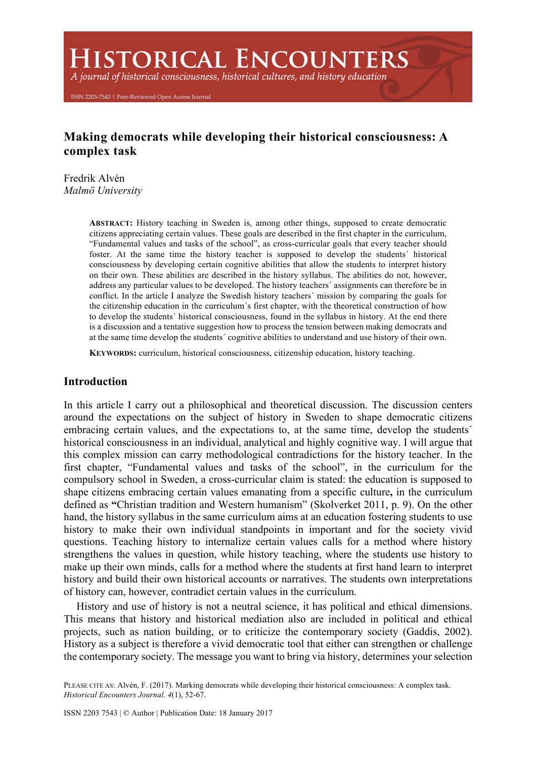**HISTORICAL ENCOUNTERS** 

A journal of historical consciousness, historical cultures, and history education

ISSN 2203-7543 | Peer-Reviewed Open Access Journal

# **Making democrats while developing their historical consciousness: A complex task**

Fredrik Alvén *Malmö University*

> **ABSTRACT:** History teaching in Sweden is, among other things, supposed to create democratic citizens appreciating certain values. These goals are described in the first chapter in the curriculum, "Fundamental values and tasks of the school", as cross-curricular goals that every teacher should foster. At the same time the history teacher is supposed to develop the students´ historical consciousness by developing certain cognitive abilities that allow the students to interpret history on their own. These abilities are described in the history syllabus. The abilities do not, however, address any particular values to be developed. The history teachers´ assignments can therefore be in conflict. In the article I analyze the Swedish history teachers´ mission by comparing the goals for the citizenship education in the curriculum´s first chapter, with the theoretical construction of how to develop the students´ historical consciousness, found in the syllabus in history. At the end there is a discussion and a tentative suggestion how to process the tension between making democrats and at the same time develop the students´ cognitive abilities to understand and use history of their own.

**KEYWORDS:** curriculum, historical consciousness, citizenship education, history teaching.

### **Introduction**

In this article I carry out a philosophical and theoretical discussion. The discussion centers around the expectations on the subject of history in Sweden to shape democratic citizens embracing certain values, and the expectations to, at the same time, develop the students´ historical consciousness in an individual, analytical and highly cognitive way. I will argue that this complex mission can carry methodological contradictions for the history teacher. In the first chapter, "Fundamental values and tasks of the school", in the curriculum for the compulsory school in Sweden, a cross-curricular claim is stated: the education is supposed to shape citizens embracing certain values emanating from a specific culture**,** in the curriculum defined as **"**Christian tradition and Western humanism" (Skolverket 2011, p. 9). On the other hand, the history syllabus in the same curriculum aims at an education fostering students to use history to make their own individual standpoints in important and for the society vivid questions. Teaching history to internalize certain values calls for a method where history strengthens the values in question, while history teaching, where the students use history to make up their own minds, calls for a method where the students at first hand learn to interpret history and build their own historical accounts or narratives. The students own interpretations of history can, however, contradict certain values in the curriculum.

History and use of history is not a neutral science, it has political and ethical dimensions. This means that history and historical mediation also are included in political and ethical projects, such as nation building, or to criticize the contemporary society (Gaddis, 2002). History as a subject is therefore a vivid democratic tool that either can strengthen or challenge the contemporary society. The message you want to bring via history, determines your selection

PLEASE CITE AS: Alvén, F. (2017). Marking democrats while developing their historical consciousness: A complex task. *Historical Encounters Journal, 4*(1), 52-67.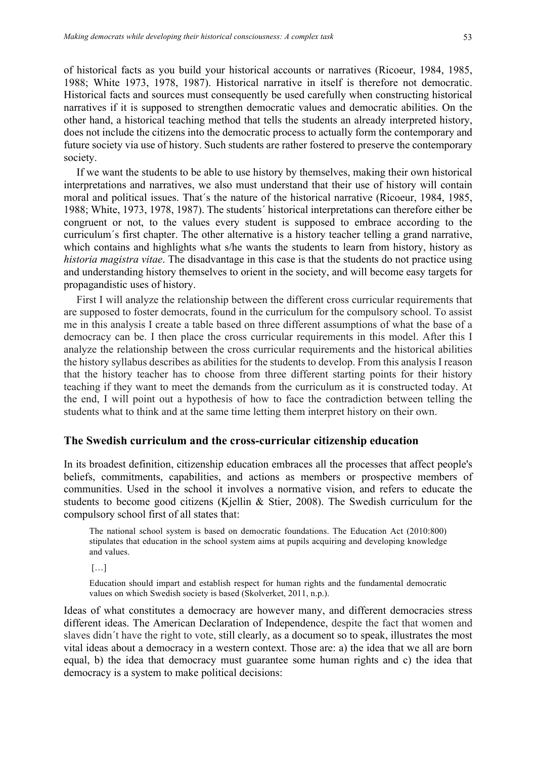of historical facts as you build your historical accounts or narratives (Ricoeur, 1984, 1985, 1988; White 1973, 1978, 1987). Historical narrative in itself is therefore not democratic. Historical facts and sources must consequently be used carefully when constructing historical narratives if it is supposed to strengthen democratic values and democratic abilities. On the other hand, a historical teaching method that tells the students an already interpreted history, does not include the citizens into the democratic process to actually form the contemporary and future society via use of history. Such students are rather fostered to preserve the contemporary society.

If we want the students to be able to use history by themselves, making their own historical interpretations and narratives, we also must understand that their use of history will contain moral and political issues. That´s the nature of the historical narrative (Ricoeur, 1984, 1985, 1988; White, 1973, 1978, 1987). The students´ historical interpretations can therefore either be congruent or not, to the values every student is supposed to embrace according to the curriculum´s first chapter. The other alternative is a history teacher telling a grand narrative, which contains and highlights what s/he wants the students to learn from history, history as *historia magistra vitae*. The disadvantage in this case is that the students do not practice using and understanding history themselves to orient in the society, and will become easy targets for propagandistic uses of history.

First I will analyze the relationship between the different cross curricular requirements that are supposed to foster democrats, found in the curriculum for the compulsory school. To assist me in this analysis I create a table based on three different assumptions of what the base of a democracy can be. I then place the cross curricular requirements in this model. After this I analyze the relationship between the cross curricular requirements and the historical abilities the history syllabus describes as abilities for the students to develop. From this analysis I reason that the history teacher has to choose from three different starting points for their history teaching if they want to meet the demands from the curriculum as it is constructed today. At the end, I will point out a hypothesis of how to face the contradiction between telling the students what to think and at the same time letting them interpret history on their own.

### **The Swedish curriculum and the cross-curricular citizenship education**

In its broadest definition, citizenship education embraces all the processes that affect people's beliefs, commitments, capabilities, and actions as members or prospective members of communities. Used in the school it involves a normative vision, and refers to educate the students to become good citizens (Kjellin & Stier, 2008). The Swedish curriculum for the compulsory school first of all states that:

The national school system is based on democratic foundations. The Education Act (2010:800) stipulates that education in the school system aims at pupils acquiring and developing knowledge and values.

[…]

Education should impart and establish respect for human rights and the fundamental democratic values on which Swedish society is based (Skolverket, 2011, n.p.).

Ideas of what constitutes a democracy are however many, and different democracies stress different ideas. The American Declaration of Independence, despite the fact that women and slaves didn´t have the right to vote, still clearly, as a document so to speak, illustrates the most vital ideas about a democracy in a western context. Those are: a) the idea that we all are born equal, b) the idea that democracy must guarantee some human rights and c) the idea that democracy is a system to make political decisions: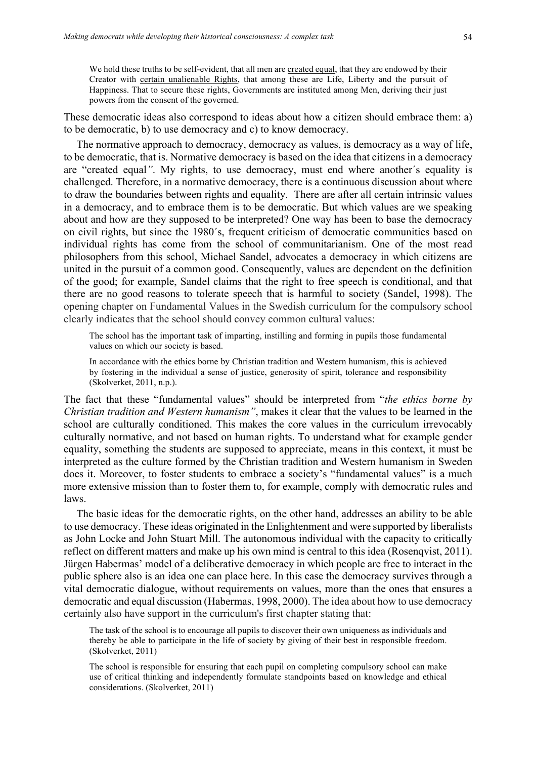We hold these truths to be self-evident, that all men are created equal, that they are endowed by their Creator with certain unalienable Rights, that among these are Life, Liberty and the pursuit of Happiness. That to secure these rights, Governments are instituted among Men, deriving their just powers from the consent of the governed.

These democratic ideas also correspond to ideas about how a citizen should embrace them: a) to be democratic, b) to use democracy and c) to know democracy.

The normative approach to democracy, democracy as values, is democracy as a way of life, to be democratic, that is. Normative democracy is based on the idea that citizens in a democracy are "created equal*"*. My rights, to use democracy, must end where another´s equality is challenged. Therefore, in a normative democracy, there is a continuous discussion about where to draw the boundaries between rights and equality. There are after all certain intrinsic values in a democracy, and to embrace them is to be democratic. But which values are we speaking about and how are they supposed to be interpreted? One way has been to base the democracy on civil rights, but since the 1980´s, frequent criticism of democratic communities based on individual rights has come from the school of communitarianism. One of the most read philosophers from this school, Michael Sandel, advocates a democracy in which citizens are united in the pursuit of a common good. Consequently, values are dependent on the definition of the good; for example, Sandel claims that the right to free speech is conditional, and that there are no good reasons to tolerate speech that is harmful to society (Sandel, 1998). The opening chapter on Fundamental Values in the Swedish curriculum for the compulsory school clearly indicates that the school should convey common cultural values:

The school has the important task of imparting, instilling and forming in pupils those fundamental values on which our society is based.

In accordance with the ethics borne by Christian tradition and Western humanism, this is achieved by fostering in the individual a sense of justice, generosity of spirit, tolerance and responsibility (Skolverket, 2011, n.p.).

The fact that these "fundamental values" should be interpreted from "*the ethics borne by Christian tradition and Western humanism"*, makes it clear that the values to be learned in the school are culturally conditioned. This makes the core values in the curriculum irrevocably culturally normative, and not based on human rights. To understand what for example gender equality, something the students are supposed to appreciate, means in this context, it must be interpreted as the culture formed by the Christian tradition and Western humanism in Sweden does it. Moreover, to foster students to embrace a society's "fundamental values" is a much more extensive mission than to foster them to, for example, comply with democratic rules and laws.

The basic ideas for the democratic rights, on the other hand, addresses an ability to be able to use democracy. These ideas originated in the Enlightenment and were supported by liberalists as John Locke and John Stuart Mill. The autonomous individual with the capacity to critically reflect on different matters and make up his own mind is central to this idea (Rosenqvist, 2011). Jürgen Habermas' model of a deliberative democracy in which people are free to interact in the public sphere also is an idea one can place here. In this case the democracy survives through a vital democratic dialogue, without requirements on values, more than the ones that ensures a democratic and equal discussion (Habermas, 1998, 2000). The idea about how to use democracy certainly also have support in the curriculum's first chapter stating that:

The task of the school is to encourage all pupils to discover their own uniqueness as individuals and thereby be able to participate in the life of society by giving of their best in responsible freedom. (Skolverket, 2011)

The school is responsible for ensuring that each pupil on completing compulsory school can make use of critical thinking and independently formulate standpoints based on knowledge and ethical considerations. (Skolverket, 2011)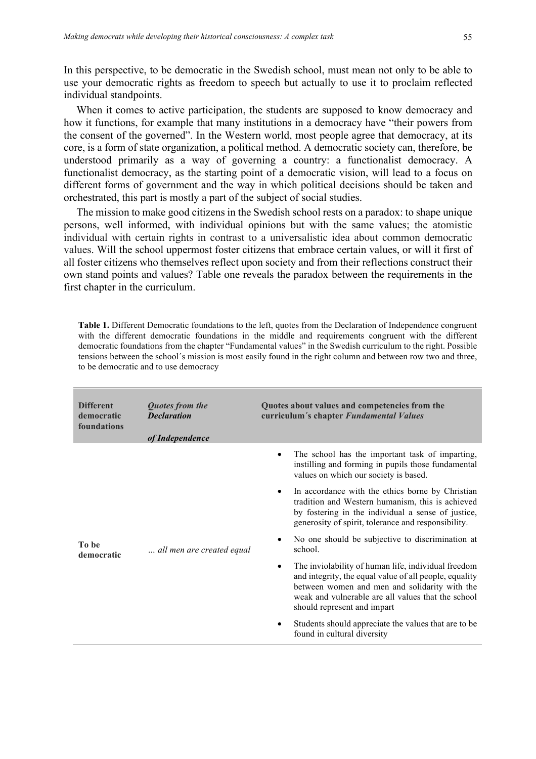In this perspective, to be democratic in the Swedish school, must mean not only to be able to use your democratic rights as freedom to speech but actually to use it to proclaim reflected individual standpoints.

When it comes to active participation, the students are supposed to know democracy and how it functions, for example that many institutions in a democracy have "their powers from the consent of the governed". In the Western world, most people agree that democracy, at its core, is a form of state organization, a political method. A democratic society can, therefore, be understood primarily as a way of governing a country: a functionalist democracy. A functionalist democracy, as the starting point of a democratic vision, will lead to a focus on different forms of government and the way in which political decisions should be taken and orchestrated, this part is mostly a part of the subject of social studies.

The mission to make good citizens in the Swedish school rests on a paradox: to shape unique persons, well informed, with individual opinions but with the same values; the atomistic individual with certain rights in contrast to a universalistic idea about common democratic values. Will the school uppermost foster citizens that embrace certain values, or will it first of all foster citizens who themselves reflect upon society and from their reflections construct their own stand points and values? Table one reveals the paradox between the requirements in the first chapter in the curriculum.

**Table 1.** Different Democratic foundations to the left, quotes from the Declaration of Independence congruent with the different democratic foundations in the middle and requirements congruent with the different democratic foundations from the chapter "Fundamental values" in the Swedish curriculum to the right. Possible tensions between the school´s mission is most easily found in the right column and between row two and three, to be democratic and to use democracy

| <b>Different</b><br>democratic<br>foundations | Quotes from the<br><b>Declaration</b><br>of Independence | Quotes about values and competencies from the<br>curriculum's chapter Fundamental Values                                                                                                                                                                         |  |  |  |
|-----------------------------------------------|----------------------------------------------------------|------------------------------------------------------------------------------------------------------------------------------------------------------------------------------------------------------------------------------------------------------------------|--|--|--|
| To be<br>democratic                           | all men are created equal                                | The school has the important task of imparting,<br>instilling and forming in pupils those fundamental<br>values on which our society is based.                                                                                                                   |  |  |  |
|                                               |                                                          | In accordance with the ethics borne by Christian<br>tradition and Western humanism, this is achieved<br>by fostering in the individual a sense of justice,<br>generosity of spirit, tolerance and responsibility.                                                |  |  |  |
|                                               |                                                          | No one should be subjective to discrimination at<br>school.                                                                                                                                                                                                      |  |  |  |
|                                               |                                                          | The inviolability of human life, individual freedom<br>$\bullet$<br>and integrity, the equal value of all people, equality<br>between women and men and solidarity with the<br>weak and vulnerable are all values that the school<br>should represent and impart |  |  |  |
|                                               |                                                          | Students should appreciate the values that are to be<br>found in cultural diversity                                                                                                                                                                              |  |  |  |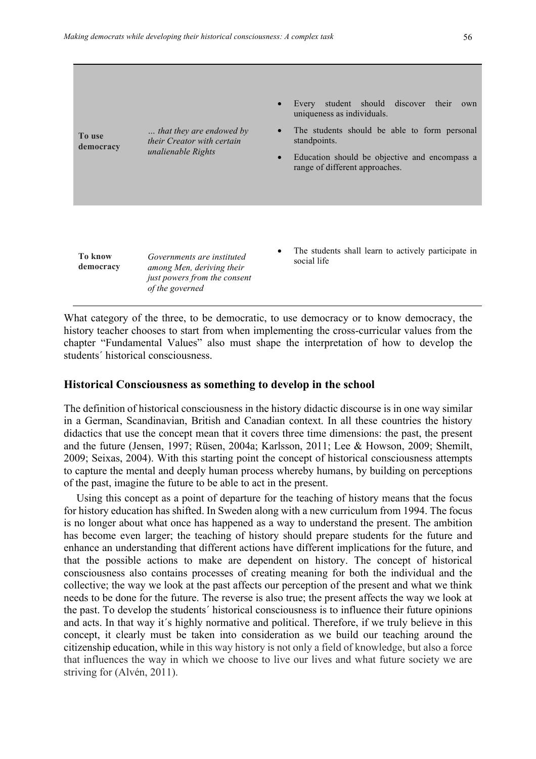| To use<br>democracy         | that they are endowed by<br>their Creator with certain<br>unalienable Rights                               | student should discover their<br>Every<br>own<br>uniqueness as individuals.<br>The students should be able to form personal<br>standpoints.<br>Education should be objective and encompass a<br>$\bullet$<br>range of different approaches. |
|-----------------------------|------------------------------------------------------------------------------------------------------------|---------------------------------------------------------------------------------------------------------------------------------------------------------------------------------------------------------------------------------------------|
| <b>To know</b><br>democracy | Governments are instituted<br>among Men, deriving their<br>just powers from the consent<br>of the governed | The students shall learn to actively participate in<br>social life                                                                                                                                                                          |

What category of the three, to be democratic, to use democracy or to know democracy, the history teacher chooses to start from when implementing the cross-curricular values from the chapter "Fundamental Values" also must shape the interpretation of how to develop the students´ historical consciousness.

#### **Historical Consciousness as something to develop in the school**

The definition of historical consciousness in the history didactic discourse is in one way similar in a German, Scandinavian, British and Canadian context. In all these countries the history didactics that use the concept mean that it covers three time dimensions: the past, the present and the future (Jensen, 1997; Rüsen, 2004a; Karlsson, 2011; Lee & Howson, 2009; Shemilt, 2009; Seixas, 2004). With this starting point the concept of historical consciousness attempts to capture the mental and deeply human process whereby humans, by building on perceptions of the past, imagine the future to be able to act in the present.

Using this concept as a point of departure for the teaching of history means that the focus for history education has shifted. In Sweden along with a new curriculum from 1994. The focus is no longer about what once has happened as a way to understand the present. The ambition has become even larger; the teaching of history should prepare students for the future and enhance an understanding that different actions have different implications for the future, and that the possible actions to make are dependent on history. The concept of historical consciousness also contains processes of creating meaning for both the individual and the collective; the way we look at the past affects our perception of the present and what we think needs to be done for the future. The reverse is also true; the present affects the way we look at the past. To develop the students´ historical consciousness is to influence their future opinions and acts. In that way it´s highly normative and political. Therefore, if we truly believe in this concept, it clearly must be taken into consideration as we build our teaching around the citizenship education, while in this way history is not only a field of knowledge, but also a force that influences the way in which we choose to live our lives and what future society we are striving for (Alvén, 2011).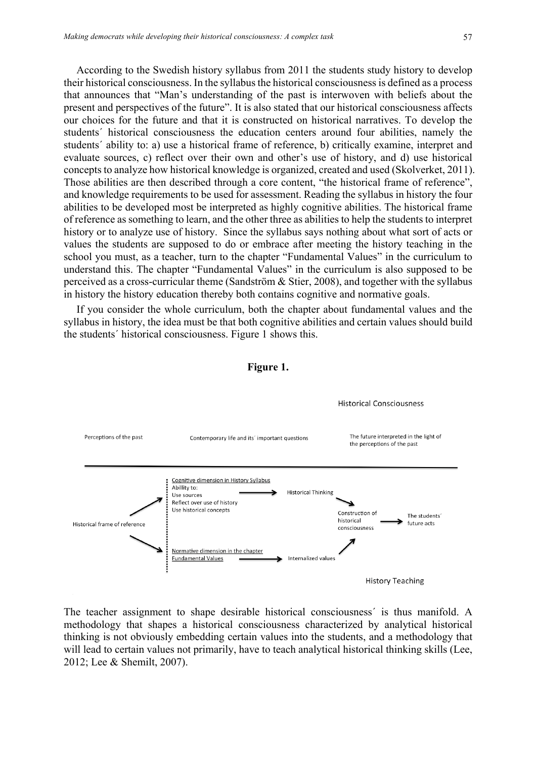According to the Swedish history syllabus from 2011 the students study history to develop their historical consciousness. In the syllabus the historical consciousness is defined as a process that announces that "Man's understanding of the past is interwoven with beliefs about the present and perspectives of the future". It is also stated that our historical consciousness affects our choices for the future and that it is constructed on historical narratives. To develop the students´ historical consciousness the education centers around four abilities, namely the students´ ability to: a) use a historical frame of reference, b) critically examine, interpret and evaluate sources, c) reflect over their own and other's use of history, and d) use historical concepts to analyze how historical knowledge is organized, created and used (Skolverket, 2011). Those abilities are then described through a core content, "the historical frame of reference", and knowledge requirements to be used for assessment. Reading the syllabus in history the four abilities to be developed most be interpreted as highly cognitive abilities. The historical frame of reference as something to learn, and the other three as abilities to help the students to interpret history or to analyze use of history. Since the syllabus says nothing about what sort of acts or values the students are supposed to do or embrace after meeting the history teaching in the school you must, as a teacher, turn to the chapter "Fundamental Values" in the curriculum to understand this. The chapter "Fundamental Values" in the curriculum is also supposed to be perceived as a cross-curricular theme (Sandström & Stier, 2008), and together with the syllabus in history the history education thereby both contains cognitive and normative goals.

If you consider the whole curriculum, both the chapter about fundamental values and the syllabus in history, the idea must be that both cognitive abilities and certain values should build the students´ historical consciousness. Figure 1 shows this.



The teacher assignment to shape desirable historical consciousness´ is thus manifold. A methodology that shapes a historical consciousness characterized by analytical historical thinking is not obviously embedding certain values into the students, and a methodology that will lead to certain values not primarily, have to teach analytical historical thinking skills (Lee, 2012; Lee & Shemilt, 2007).

#### **Figure 1.**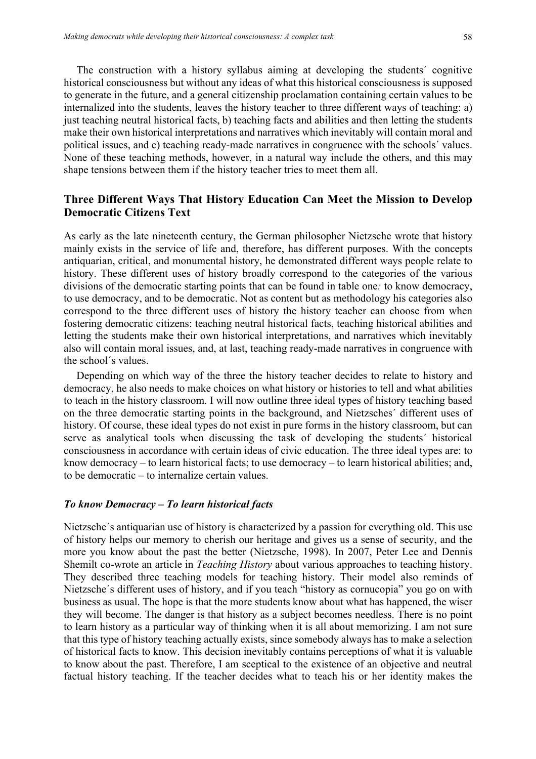The construction with a history syllabus aiming at developing the students´ cognitive historical consciousness but without any ideas of what this historical consciousness is supposed to generate in the future, and a general citizenship proclamation containing certain values to be internalized into the students, leaves the history teacher to three different ways of teaching: a) just teaching neutral historical facts, b) teaching facts and abilities and then letting the students make their own historical interpretations and narratives which inevitably will contain moral and political issues, and c) teaching ready-made narratives in congruence with the schools´ values. None of these teaching methods, however, in a natural way include the others, and this may shape tensions between them if the history teacher tries to meet them all.

### **Three Different Ways That History Education Can Meet the Mission to Develop Democratic Citizens Text**

As early as the late nineteenth century, the German philosopher Nietzsche wrote that history mainly exists in the service of life and, therefore, has different purposes. With the concepts antiquarian, critical, and monumental history, he demonstrated different ways people relate to history. These different uses of history broadly correspond to the categories of the various divisions of the democratic starting points that can be found in table one*:* to know democracy, to use democracy, and to be democratic. Not as content but as methodology his categories also correspond to the three different uses of history the history teacher can choose from when fostering democratic citizens: teaching neutral historical facts, teaching historical abilities and letting the students make their own historical interpretations, and narratives which inevitably also will contain moral issues, and, at last, teaching ready-made narratives in congruence with the school´s values.

Depending on which way of the three the history teacher decides to relate to history and democracy, he also needs to make choices on what history or histories to tell and what abilities to teach in the history classroom. I will now outline three ideal types of history teaching based on the three democratic starting points in the background, and Nietzsches´ different uses of history. Of course, these ideal types do not exist in pure forms in the history classroom, but can serve as analytical tools when discussing the task of developing the students´ historical consciousness in accordance with certain ideas of civic education. The three ideal types are: to know democracy – to learn historical facts; to use democracy – to learn historical abilities; and, to be democratic – to internalize certain values.

#### *To know Democracy – To learn historical facts*

Nietzsche´s antiquarian use of history is characterized by a passion for everything old. This use of history helps our memory to cherish our heritage and gives us a sense of security, and the more you know about the past the better (Nietzsche, 1998). In 2007, Peter Lee and Dennis Shemilt co-wrote an article in *Teaching History* about various approaches to teaching history. They described three teaching models for teaching history. Their model also reminds of Nietzsche´s different uses of history, and if you teach "history as cornucopia" you go on with business as usual. The hope is that the more students know about what has happened, the wiser they will become. The danger is that history as a subject becomes needless. There is no point to learn history as a particular way of thinking when it is all about memorizing. I am not sure that this type of history teaching actually exists, since somebody always has to make a selection of historical facts to know. This decision inevitably contains perceptions of what it is valuable to know about the past. Therefore, I am sceptical to the existence of an objective and neutral factual history teaching. If the teacher decides what to teach his or her identity makes the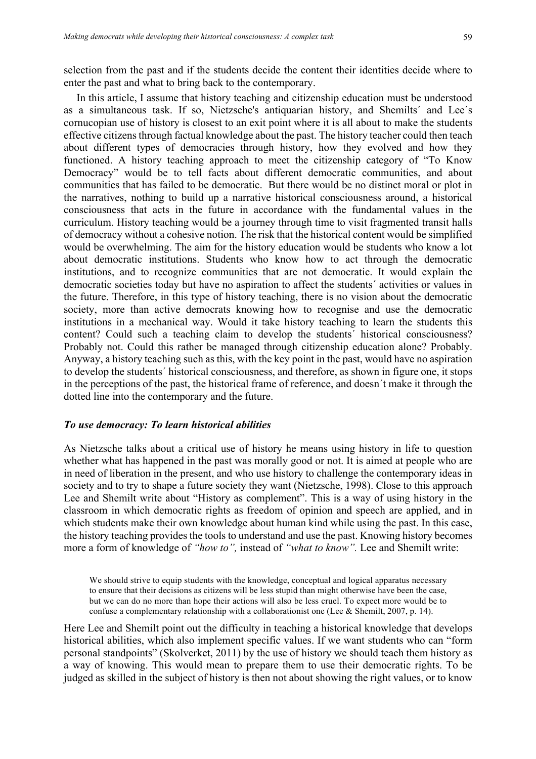selection from the past and if the students decide the content their identities decide where to enter the past and what to bring back to the contemporary.

In this article, I assume that history teaching and citizenship education must be understood as a simultaneous task. If so, Nietzsche's antiquarian history, and Shemilts´ and Lee´s cornucopian use of history is closest to an exit point where it is all about to make the students effective citizens through factual knowledge about the past. The history teacher could then teach about different types of democracies through history, how they evolved and how they functioned. A history teaching approach to meet the citizenship category of "To Know Democracy" would be to tell facts about different democratic communities, and about communities that has failed to be democratic. But there would be no distinct moral or plot in the narratives, nothing to build up a narrative historical consciousness around, a historical consciousness that acts in the future in accordance with the fundamental values in the curriculum. History teaching would be a journey through time to visit fragmented transit halls of democracy without a cohesive notion. The risk that the historical content would be simplified would be overwhelming. The aim for the history education would be students who know a lot about democratic institutions. Students who know how to act through the democratic institutions, and to recognize communities that are not democratic. It would explain the democratic societies today but have no aspiration to affect the students´ activities or values in the future. Therefore, in this type of history teaching, there is no vision about the democratic society, more than active democrats knowing how to recognise and use the democratic institutions in a mechanical way. Would it take history teaching to learn the students this content? Could such a teaching claim to develop the students´ historical consciousness? Probably not. Could this rather be managed through citizenship education alone? Probably. Anyway, a history teaching such as this, with the key point in the past, would have no aspiration to develop the students´ historical consciousness, and therefore, as shown in figure one, it stops in the perceptions of the past, the historical frame of reference, and doesn´t make it through the dotted line into the contemporary and the future.

#### *To use democracy: To learn historical abilities*

As Nietzsche talks about a critical use of history he means using history in life to question whether what has happened in the past was morally good or not. It is aimed at people who are in need of liberation in the present, and who use history to challenge the contemporary ideas in society and to try to shape a future society they want (Nietzsche, 1998). Close to this approach Lee and Shemilt write about "History as complement". This is a way of using history in the classroom in which democratic rights as freedom of opinion and speech are applied, and in which students make their own knowledge about human kind while using the past. In this case, the history teaching provides the tools to understand and use the past. Knowing history becomes more a form of knowledge of *"how to",* instead of *"what to know".* Lee and Shemilt write:

We should strive to equip students with the knowledge, conceptual and logical apparatus necessary to ensure that their decisions as citizens will be less stupid than might otherwise have been the case, but we can do no more than hope their actions will also be less cruel. To expect more would be to confuse a complementary relationship with a collaborationist one (Lee & Shemilt, 2007, p. 14).

Here Lee and Shemilt point out the difficulty in teaching a historical knowledge that develops historical abilities, which also implement specific values. If we want students who can "form personal standpoints" (Skolverket, 2011) by the use of history we should teach them history as a way of knowing. This would mean to prepare them to use their democratic rights. To be judged as skilled in the subject of history is then not about showing the right values, or to know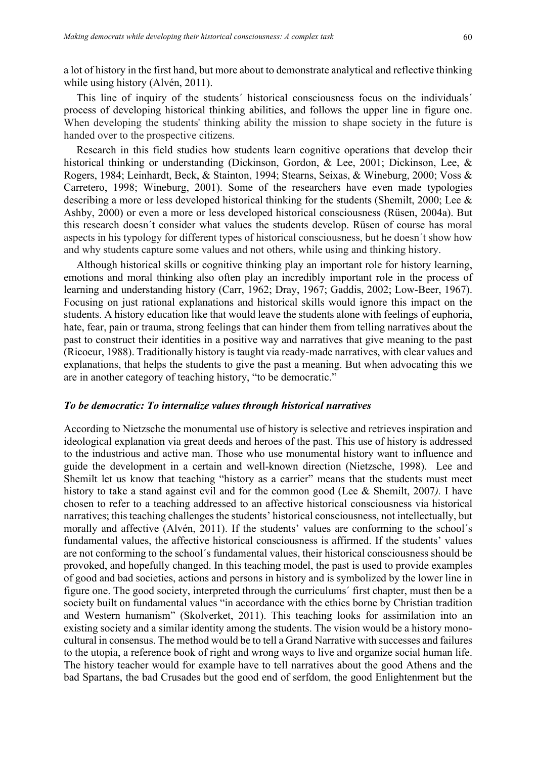a lot of history in the first hand, but more about to demonstrate analytical and reflective thinking while using history (Alvén, 2011).

This line of inquiry of the students´ historical consciousness focus on the individuals´ process of developing historical thinking abilities, and follows the upper line in figure one. When developing the students' thinking ability the mission to shape society in the future is handed over to the prospective citizens.

Research in this field studies how students learn cognitive operations that develop their historical thinking or understanding (Dickinson, Gordon, & Lee, 2001; Dickinson, Lee, & Rogers, 1984; Leinhardt, Beck, & Stainton, 1994; Stearns, Seixas, & Wineburg, 2000; Voss & Carretero, 1998; Wineburg, 2001). Some of the researchers have even made typologies describing a more or less developed historical thinking for the students (Shemilt, 2000; Lee & Ashby, 2000) or even a more or less developed historical consciousness (Rüsen, 2004a). But this research doesn´t consider what values the students develop. Rüsen of course has moral aspects in his typology for different types of historical consciousness, but he doesn´t show how and why students capture some values and not others, while using and thinking history.

Although historical skills or cognitive thinking play an important role for history learning, emotions and moral thinking also often play an incredibly important role in the process of learning and understanding history (Carr, 1962; Dray, 1967; Gaddis, 2002; Low-Beer, 1967). Focusing on just rational explanations and historical skills would ignore this impact on the students. A history education like that would leave the students alone with feelings of euphoria, hate, fear, pain or trauma, strong feelings that can hinder them from telling narratives about the past to construct their identities in a positive way and narratives that give meaning to the past (Ricoeur, 1988). Traditionally history is taught via ready-made narratives, with clear values and explanations, that helps the students to give the past a meaning. But when advocating this we are in another category of teaching history, "to be democratic."

#### *To be democratic: To internalize values through historical narratives*

According to Nietzsche the monumental use of history is selective and retrieves inspiration and ideological explanation via great deeds and heroes of the past. This use of history is addressed to the industrious and active man. Those who use monumental history want to influence and guide the development in a certain and well-known direction (Nietzsche, 1998). Lee and Shemilt let us know that teaching "history as a carrier" means that the students must meet history to take a stand against evil and for the common good (Lee & Shemilt, 2007*).* I have chosen to refer to a teaching addressed to an affective historical consciousness via historical narratives; this teaching challenges the students' historical consciousness, not intellectually, but morally and affective (Alvén, 2011). If the students' values are conforming to the school´s fundamental values, the affective historical consciousness is affirmed. If the students' values are not conforming to the school´s fundamental values, their historical consciousness should be provoked, and hopefully changed. In this teaching model, the past is used to provide examples of good and bad societies, actions and persons in history and is symbolized by the lower line in figure one. The good society, interpreted through the curriculums´ first chapter, must then be a society built on fundamental values "in accordance with the ethics borne by Christian tradition and Western humanism" (Skolverket, 2011). This teaching looks for assimilation into an existing society and a similar identity among the students. The vision would be a history monocultural in consensus. The method would be to tell a Grand Narrative with successes and failures to the utopia, a reference book of right and wrong ways to live and organize social human life. The history teacher would for example have to tell narratives about the good Athens and the bad Spartans, the bad Crusades but the good end of serfdom, the good Enlightenment but the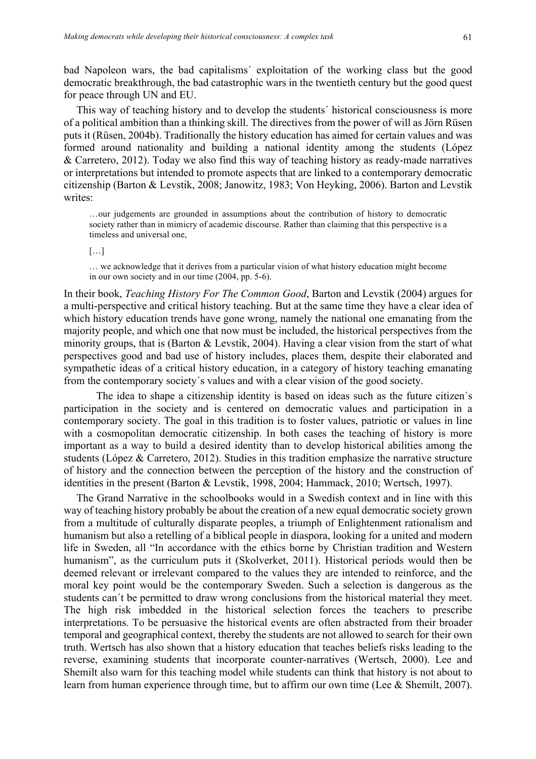bad Napoleon wars, the bad capitalisms´ exploitation of the working class but the good democratic breakthrough, the bad catastrophic wars in the twentieth century but the good quest for peace through UN and EU.

This way of teaching history and to develop the students´ historical consciousness is more of a political ambition than a thinking skill. The directives from the power of will as Jörn Rüsen puts it (Rüsen, 2004b). Traditionally the history education has aimed for certain values and was formed around nationality and building a national identity among the students (López & Carretero, 2012). Today we also find this way of teaching history as ready-made narratives or interpretations but intended to promote aspects that are linked to a contemporary democratic citizenship (Barton & Levstik, 2008; Janowitz, 1983; Von Heyking, 2006). Barton and Levstik writes<sup>.</sup>

…our judgements are grounded in assumptions about the contribution of history to democratic society rather than in mimicry of academic discourse. Rather than claiming that this perspective is a timeless and universal one,

[…]

… we acknowledge that it derives from a particular vision of what history education might become in our own society and in our time (2004, pp. 5-6).

In their book, *Teaching History For The Common Good*, Barton and Levstik (2004) argues for a multi-perspective and critical history teaching. But at the same time they have a clear idea of which history education trends have gone wrong, namely the national one emanating from the majority people, and which one that now must be included, the historical perspectives from the minority groups, that is (Barton  $&$  Levstik, 2004). Having a clear vision from the start of what perspectives good and bad use of history includes, places them, despite their elaborated and sympathetic ideas of a critical history education, in a category of history teaching emanating from the contemporary society´s values and with a clear vision of the good society.

The idea to shape a citizenship identity is based on ideas such as the future citizen´s participation in the society and is centered on democratic values and participation in a contemporary society. The goal in this tradition is to foster values, patriotic or values in line with a cosmopolitan democratic citizenship. In both cases the teaching of history is more important as a way to build a desired identity than to develop historical abilities among the students (López & Carretero, 2012). Studies in this tradition emphasize the narrative structure of history and the connection between the perception of the history and the construction of identities in the present (Barton & Levstik, 1998, 2004; Hammack, 2010; Wertsch, 1997).

The Grand Narrative in the schoolbooks would in a Swedish context and in line with this way of teaching history probably be about the creation of a new equal democratic society grown from a multitude of culturally disparate peoples, a triumph of Enlightenment rationalism and humanism but also a retelling of a biblical people in diaspora, looking for a united and modern life in Sweden, all "In accordance with the ethics borne by Christian tradition and Western humanism", as the curriculum puts it (Skolverket, 2011). Historical periods would then be deemed relevant or irrelevant compared to the values they are intended to reinforce, and the moral key point would be the contemporary Sweden. Such a selection is dangerous as the students can´t be permitted to draw wrong conclusions from the historical material they meet. The high risk imbedded in the historical selection forces the teachers to prescribe interpretations. To be persuasive the historical events are often abstracted from their broader temporal and geographical context, thereby the students are not allowed to search for their own truth. Wertsch has also shown that a history education that teaches beliefs risks leading to the reverse, examining students that incorporate counter-narratives (Wertsch, 2000). Lee and Shemilt also warn for this teaching model while students can think that history is not about to learn from human experience through time, but to affirm our own time (Lee & Shemilt, 2007).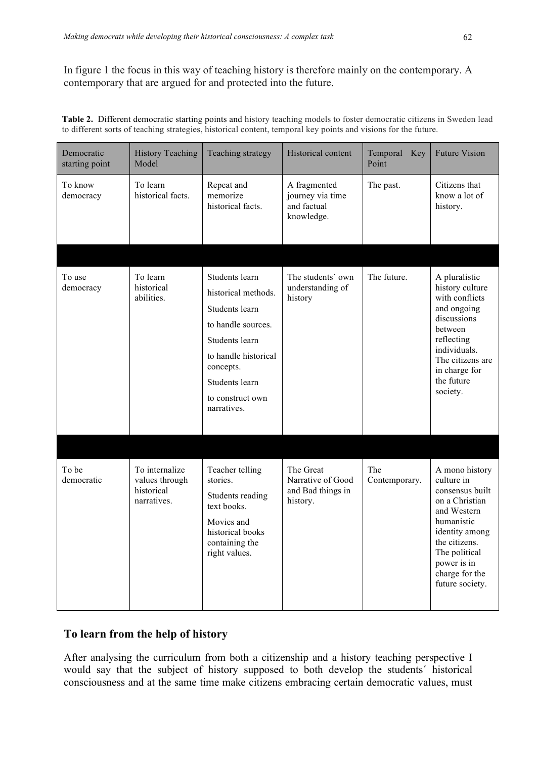In figure 1 the focus in this way of teaching history is therefore mainly on the contemporary. A contemporary that are argued for and protected into the future.

| Table 2. Different democratic starting points and history teaching models to foster democratic citizens in Sweden lead |  |  |
|------------------------------------------------------------------------------------------------------------------------|--|--|
| to different sorts of teaching strategies, historical content, temporal key points and visions for the future.         |  |  |

| Democratic<br>starting point | <b>History Teaching</b><br>Model                              | Teaching strategy                                                                                                                                                                         | Historical content                                              | Temporal Key<br>Point | <b>Future Vision</b>                                                                                                                                                                                   |
|------------------------------|---------------------------------------------------------------|-------------------------------------------------------------------------------------------------------------------------------------------------------------------------------------------|-----------------------------------------------------------------|-----------------------|--------------------------------------------------------------------------------------------------------------------------------------------------------------------------------------------------------|
| To know<br>democracy         | To learn<br>historical facts.                                 | Repeat and<br>memorize<br>historical facts.                                                                                                                                               | A fragmented<br>journey via time<br>and factual<br>knowledge.   | The past.             | Citizens that<br>know a lot of<br>history.                                                                                                                                                             |
|                              |                                                               |                                                                                                                                                                                           |                                                                 |                       |                                                                                                                                                                                                        |
| To use<br>democracy          | To learn<br>historical<br>abilities.                          | Students learn<br>historical methods.<br>Students learn<br>to handle sources.<br>Students learn<br>to handle historical<br>concepts.<br>Students learn<br>to construct own<br>narratives. | The students' own<br>understanding of<br>history                | The future.           | A pluralistic<br>history culture<br>with conflicts<br>and ongoing<br>discussions<br>between<br>reflecting<br>individuals.<br>The citizens are<br>in charge for<br>the future<br>society.               |
|                              |                                                               |                                                                                                                                                                                           |                                                                 |                       |                                                                                                                                                                                                        |
| To be<br>democratic          | To internalize<br>values through<br>historical<br>narratives. | Teacher telling<br>stories.<br>Students reading<br>text books.<br>Movies and<br>historical books<br>containing the<br>right values.                                                       | The Great<br>Narrative of Good<br>and Bad things in<br>history. | The<br>Contemporary.  | A mono history<br>culture in<br>consensus built<br>on a Christian<br>and Western<br>humanistic<br>identity among<br>the citizens.<br>The political<br>power is in<br>charge for the<br>future society. |

## **To learn from the help of history**

After analysing the curriculum from both a citizenship and a history teaching perspective I would say that the subject of history supposed to both develop the students' historical consciousness and at the same time make citizens embracing certain democratic values, must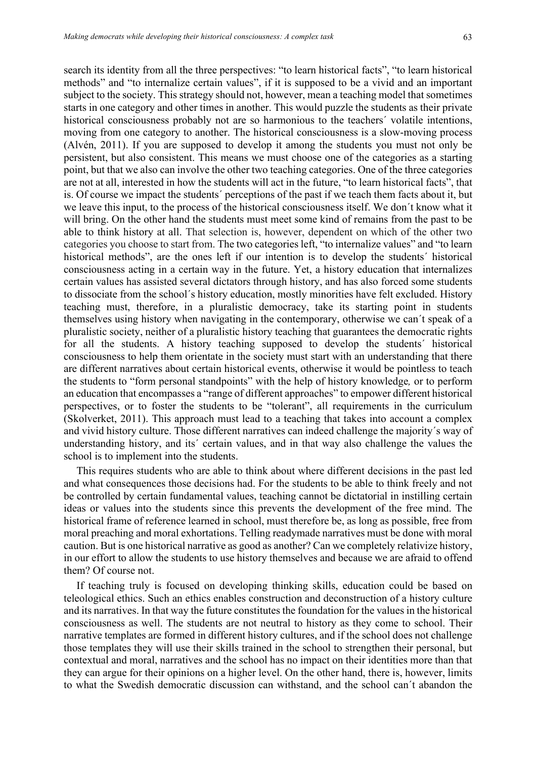search its identity from all the three perspectives: "to learn historical facts", "to learn historical methods" and "to internalize certain values", if it is supposed to be a vivid and an important subject to the society. This strategy should not, however, mean a teaching model that sometimes starts in one category and other times in another. This would puzzle the students as their private historical consciousness probably not are so harmonious to the teachers´ volatile intentions, moving from one category to another. The historical consciousness is a slow-moving process (Alvén, 2011). If you are supposed to develop it among the students you must not only be persistent, but also consistent. This means we must choose one of the categories as a starting point, but that we also can involve the other two teaching categories. One of the three categories are not at all, interested in how the students will act in the future, "to learn historical facts", that is. Of course we impact the students´ perceptions of the past if we teach them facts about it, but we leave this input, to the process of the historical consciousness itself. We don´t know what it will bring. On the other hand the students must meet some kind of remains from the past to be able to think history at all. That selection is, however, dependent on which of the other two categories you choose to start from. The two categories left, "to internalize values" and "to learn historical methods", are the ones left if our intention is to develop the students´ historical consciousness acting in a certain way in the future. Yet, a history education that internalizes certain values has assisted several dictators through history, and has also forced some students to dissociate from the school´s history education, mostly minorities have felt excluded. History teaching must, therefore, in a pluralistic democracy, take its starting point in students themselves using history when navigating in the contemporary, otherwise we can´t speak of a pluralistic society, neither of a pluralistic history teaching that guarantees the democratic rights for all the students. A history teaching supposed to develop the students´ historical consciousness to help them orientate in the society must start with an understanding that there are different narratives about certain historical events, otherwise it would be pointless to teach the students to "form personal standpoints" with the help of history knowledge*,* or to perform an education that encompasses a "range of different approaches" to empower different historical perspectives, or to foster the students to be "tolerant", all requirements in the curriculum (Skolverket, 2011). This approach must lead to a teaching that takes into account a complex and vivid history culture. Those different narratives can indeed challenge the majority´s way of understanding history, and its´ certain values, and in that way also challenge the values the school is to implement into the students.

This requires students who are able to think about where different decisions in the past led and what consequences those decisions had. For the students to be able to think freely and not be controlled by certain fundamental values, teaching cannot be dictatorial in instilling certain ideas or values into the students since this prevents the development of the free mind. The historical frame of reference learned in school, must therefore be, as long as possible, free from moral preaching and moral exhortations. Telling readymade narratives must be done with moral caution. But is one historical narrative as good as another? Can we completely relativize history, in our effort to allow the students to use history themselves and because we are afraid to offend them? Of course not.

If teaching truly is focused on developing thinking skills, education could be based on teleological ethics. Such an ethics enables construction and deconstruction of a history culture and its narratives. In that way the future constitutes the foundation for the values in the historical consciousness as well. The students are not neutral to history as they come to school. Their narrative templates are formed in different history cultures, and if the school does not challenge those templates they will use their skills trained in the school to strengthen their personal, but contextual and moral, narratives and the school has no impact on their identities more than that they can argue for their opinions on a higher level. On the other hand, there is, however, limits to what the Swedish democratic discussion can withstand, and the school can´t abandon the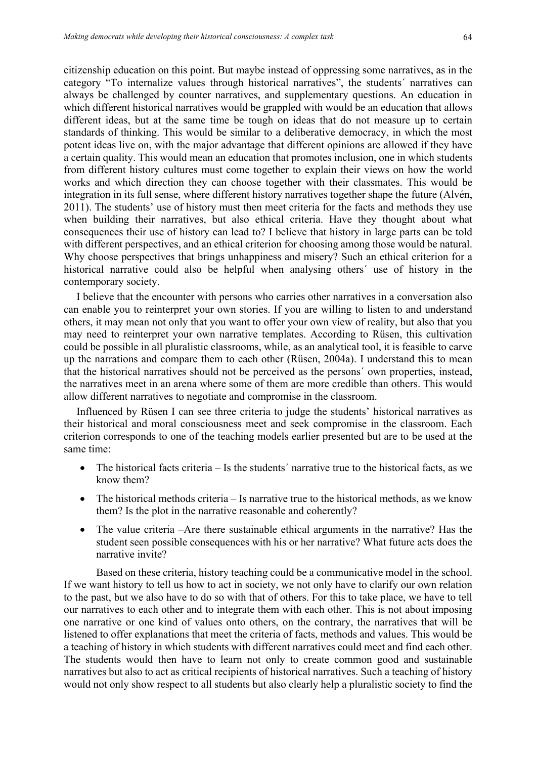citizenship education on this point. But maybe instead of oppressing some narratives, as in the category "To internalize values through historical narratives", the students´ narratives can always be challenged by counter narratives, and supplementary questions. An education in which different historical narratives would be grappled with would be an education that allows different ideas, but at the same time be tough on ideas that do not measure up to certain standards of thinking. This would be similar to a deliberative democracy, in which the most potent ideas live on, with the major advantage that different opinions are allowed if they have a certain quality. This would mean an education that promotes inclusion, one in which students from different history cultures must come together to explain their views on how the world works and which direction they can choose together with their classmates. This would be integration in its full sense, where different history narratives together shape the future (Alvén, 2011). The students' use of history must then meet criteria for the facts and methods they use when building their narratives, but also ethical criteria. Have they thought about what consequences their use of history can lead to? I believe that history in large parts can be told with different perspectives, and an ethical criterion for choosing among those would be natural. Why choose perspectives that brings unhappiness and misery? Such an ethical criterion for a historical narrative could also be helpful when analysing others´ use of history in the contemporary society.

I believe that the encounter with persons who carries other narratives in a conversation also can enable you to reinterpret your own stories. If you are willing to listen to and understand others, it may mean not only that you want to offer your own view of reality, but also that you may need to reinterpret your own narrative templates. According to Rüsen, this cultivation could be possible in all pluralistic classrooms, while, as an analytical tool, it is feasible to carve up the narrations and compare them to each other (Rüsen, 2004a). I understand this to mean that the historical narratives should not be perceived as the persons´ own properties, instead, the narratives meet in an arena where some of them are more credible than others. This would allow different narratives to negotiate and compromise in the classroom.

Influenced by Rüsen I can see three criteria to judge the students' historical narratives as their historical and moral consciousness meet and seek compromise in the classroom. Each criterion corresponds to one of the teaching models earlier presented but are to be used at the same time:

- The historical facts criteria Is the students' narrative true to the historical facts, as we know them?
- The historical methods criteria Is narrative true to the historical methods, as we know them? Is the plot in the narrative reasonable and coherently?
- The value criteria –Are there sustainable ethical arguments in the narrative? Has the student seen possible consequences with his or her narrative? What future acts does the narrative invite?

Based on these criteria, history teaching could be a communicative model in the school. If we want history to tell us how to act in society, we not only have to clarify our own relation to the past, but we also have to do so with that of others. For this to take place, we have to tell our narratives to each other and to integrate them with each other. This is not about imposing one narrative or one kind of values onto others, on the contrary, the narratives that will be listened to offer explanations that meet the criteria of facts, methods and values. This would be a teaching of history in which students with different narratives could meet and find each other. The students would then have to learn not only to create common good and sustainable narratives but also to act as critical recipients of historical narratives. Such a teaching of history would not only show respect to all students but also clearly help a pluralistic society to find the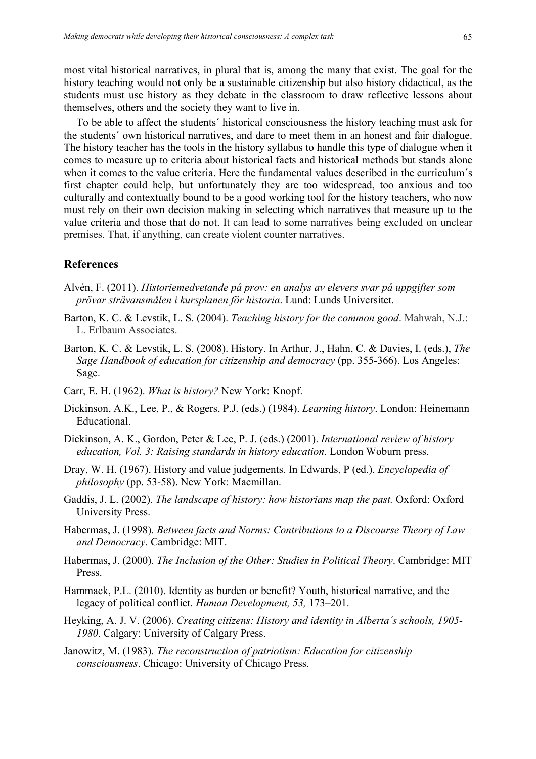most vital historical narratives, in plural that is, among the many that exist. The goal for the history teaching would not only be a sustainable citizenship but also history didactical, as the students must use history as they debate in the classroom to draw reflective lessons about themselves, others and the society they want to live in.

To be able to affect the students´ historical consciousness the history teaching must ask for the students´ own historical narratives, and dare to meet them in an honest and fair dialogue. The history teacher has the tools in the history syllabus to handle this type of dialogue when it comes to measure up to criteria about historical facts and historical methods but stands alone when it comes to the value criteria. Here the fundamental values described in the curriculum´s first chapter could help, but unfortunately they are too widespread, too anxious and too culturally and contextually bound to be a good working tool for the history teachers, who now must rely on their own decision making in selecting which narratives that measure up to the value criteria and those that do not. It can lead to some narratives being excluded on unclear premises. That, if anything, can create violent counter narratives.

### **References**

- Alvén, F. (2011). *Historiemedvetande på prov: en analys av elevers svar på uppgifter som prövar strävansmålen i kursplanen för historia*. Lund: Lunds Universitet.
- Barton, K. C. & Levstik, L. S. (2004). *Teaching history for the common good*. Mahwah, N.J.: L. Erlbaum Associates.
- Barton, K. C. & Levstik, L. S. (2008). History. In Arthur, J., Hahn, C. & Davies, I. (eds.), *The Sage Handbook of education for citizenship and democracy* (pp. 355-366). Los Angeles: Sage.
- Carr, E. H. (1962). *What is history?* New York: Knopf.
- Dickinson, A.K., Lee, P., & Rogers, P.J. (eds.) (1984). *Learning history*. London: Heinemann Educational.
- Dickinson, A. K., Gordon, Peter & Lee, P. J. (eds.) (2001). *International review of history education, Vol. 3: Raising standards in history education*. London Woburn press.
- Dray, W. H. (1967). History and value judgements. In Edwards, P (ed.). *Encyclopedia of philosophy* (pp. 53-58). New York: Macmillan.
- Gaddis, J. L. (2002). *The landscape of history: how historians map the past.* Oxford: Oxford University Press.
- Habermas, J. (1998). *Between facts and Norms: Contributions to a Discourse Theory of Law and Democracy*. Cambridge: MIT.
- Habermas, J. (2000). *The Inclusion of the Other: Studies in Political Theory*. Cambridge: MIT Press.
- Hammack, P.L. (2010). Identity as burden or benefit? Youth, historical narrative, and the legacy of political conflict. *Human Development, 53,* 173–201.
- Heyking, A. J. V. (2006). *Creating citizens: History and identity in Alberta´s schools, 1905- 1980*. Calgary: University of Calgary Press.
- Janowitz, M. (1983). *The reconstruction of patriotism: Education for citizenship consciousness*. Chicago: University of Chicago Press.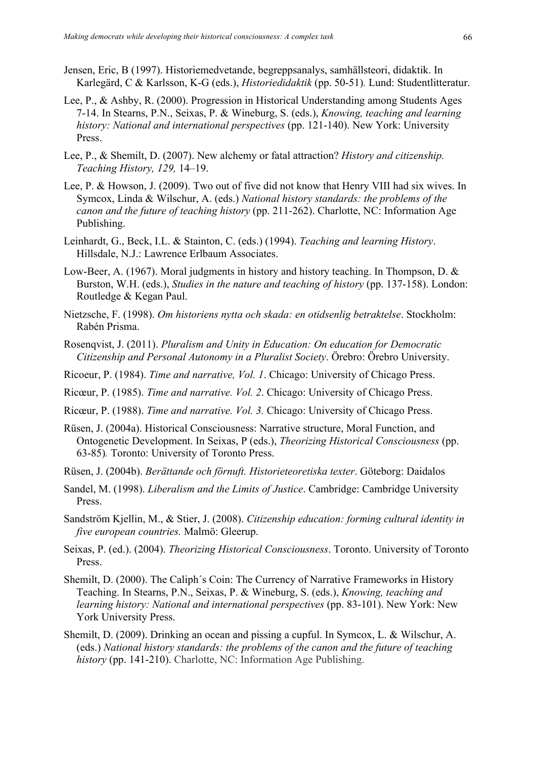- Jensen, Eric, B (1997). Historiemedvetande, begreppsanalys, samhällsteori, didaktik. In Karlegärd, C & Karlsson, K-G (eds.), *Historiedidaktik* (pp. 50-51)*.* Lund: Studentlitteratur.
- Lee, P., & Ashby, R. (2000). Progression in Historical Understanding among Students Ages 7-14. In Stearns, P.N., Seixas, P. & Wineburg, S. (eds.), *Knowing, teaching and learning history: National and international perspectives* (pp. 121-140). New York: University Press.
- Lee, P., & Shemilt, D. (2007). New alchemy or fatal attraction? *History and citizenship. Teaching History, 129,* 14–19.
- Lee, P. & Howson, J. (2009). Two out of five did not know that Henry VIII had six wives. In Symcox, Linda & Wilschur, A. (eds.) *National history standards: the problems of the canon and the future of teaching history* (pp. 211-262). Charlotte, NC: Information Age Publishing.
- Leinhardt, G., Beck, I.L. & Stainton, C. (eds.) (1994). *Teaching and learning History*. Hillsdale, N.J.: Lawrence Erlbaum Associates.
- Low-Beer, A. (1967). Moral judgments in history and history teaching. In Thompson, D. & Burston, W.H. (eds.), *Studies in the nature and teaching of history* (pp. 137-158). London: Routledge & Kegan Paul.
- Nietzsche, F. (1998). *Om historiens nytta och skada: en otidsenlig betraktelse*. Stockholm: Rabén Prisma.
- Rosenqvist, J. (2011). *Pluralism and Unity in Education: On education for Democratic Citizenship and Personal Autonomy in a Pluralist Society*. Örebro: Örebro University.
- Ricoeur, P. (1984). *Time and narrative, Vol. 1*. Chicago: University of Chicago Press.
- Ricœur, P. (1985). *Time and narrative. Vol. 2*. Chicago: University of Chicago Press.
- Ricœur, P. (1988). *Time and narrative. Vol. 3.* Chicago: University of Chicago Press.
- Rüsen, J. (2004a). Historical Consciousness: Narrative structure, Moral Function, and Ontogenetic Development. In Seixas, P (eds.), *Theorizing Historical Consciousness* (pp. 63-85)*.* Toronto: University of Toronto Press.
- Rüsen, J. (2004b). *Berättande och förnuft. Historieteoretiska texter*. Göteborg: Daidalos
- Sandel, M. (1998). *Liberalism and the Limits of Justice*. Cambridge: Cambridge University Press.
- Sandström Kjellin, M., & Stier, J. (2008). *Citizenship education: forming cultural identity in five european countries.* Malmö: Gleerup.
- Seixas, P. (ed.). (2004). *Theorizing Historical Consciousness*. Toronto. University of Toronto **Press**.
- Shemilt, D. (2000). The Caliph´s Coin: The Currency of Narrative Frameworks in History Teaching. In Stearns, P.N., Seixas, P. & Wineburg, S. (eds.), *Knowing, teaching and learning history: National and international perspectives* (pp. 83-101). New York: New York University Press.
- Shemilt, D. (2009). Drinking an ocean and pissing a cupful. In Symcox, L. & Wilschur, A. (eds.) *National history standards: the problems of the canon and the future of teaching history* (pp. 141-210). Charlotte, NC: Information Age Publishing.